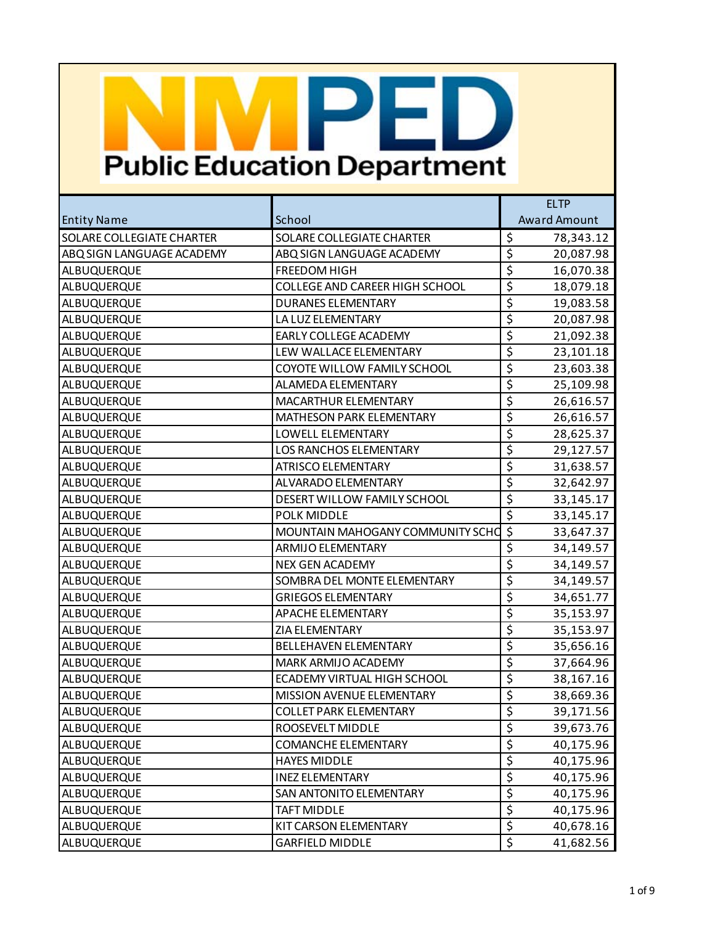|                                  |                                       | <b>ELTP</b>                                  |  |
|----------------------------------|---------------------------------------|----------------------------------------------|--|
| <b>Entity Name</b>               | School                                | <b>Award Amount</b>                          |  |
| <b>SOLARE COLLEGIATE CHARTER</b> | SOLARE COLLEGIATE CHARTER             | \$<br>78,343.12                              |  |
| ABQ SIGN LANGUAGE ACADEMY        | ABQ SIGN LANGUAGE ACADEMY             | $\overline{\xi}$<br>20,087.98                |  |
| ALBUQUERQUE                      | FREEDOM HIGH                          | \$<br>16,070.38                              |  |
| ALBUQUERQUE                      | <b>COLLEGE AND CAREER HIGH SCHOOL</b> | \$<br>18,079.18                              |  |
| ALBUQUERQUE                      | <b>DURANES ELEMENTARY</b>             | $\overline{\xi}$<br>19,083.58                |  |
| ALBUQUERQUE                      | LA LUZ ELEMENTARY                     | $\overline{\boldsymbol{\zeta}}$<br>20,087.98 |  |
| ALBUQUERQUE                      | EARLY COLLEGE ACADEMY                 | \$<br>21,092.38                              |  |
| ALBUQUERQUE                      | LEW WALLACE ELEMENTARY                | $\overline{\xi}$<br>23,101.18                |  |
| ALBUQUERQUE                      | COYOTE WILLOW FAMILY SCHOOL           | \$<br>23,603.38                              |  |
| ALBUQUERQUE                      | ALAMEDA ELEMENTARY                    | \$<br>25,109.98                              |  |
| ALBUQUERQUE                      | MACARTHUR ELEMENTARY                  | $\overline{\xi}$<br>26,616.57                |  |
| ALBUQUERQUE                      | MATHESON PARK ELEMENTARY              | \$<br>26,616.57                              |  |
| ALBUQUERQUE                      | LOWELL ELEMENTARY                     | \$<br>28,625.37                              |  |
| ALBUQUERQUE                      | <b>LOS RANCHOS ELEMENTARY</b>         | \$<br>29,127.57                              |  |
| ALBUQUERQUE                      | <b>ATRISCO ELEMENTARY</b>             | \$<br>31,638.57                              |  |
| ALBUQUERQUE                      | ALVARADO ELEMENTARY                   | \$<br>32,642.97                              |  |
| ALBUQUERQUE                      | DESERT WILLOW FAMILY SCHOOL           | $\overline{\xi}$<br>33,145.17                |  |
| ALBUQUERQUE                      | POLK MIDDLE                           | $\overline{\xi}$<br>33,145.17                |  |
| ALBUQUERQUE                      | MOUNTAIN MAHOGANY COMMUNITY SCHO      | $\overline{\xi}$<br>33,647.37                |  |
| ALBUQUERQUE                      | <b>ARMIJO ELEMENTARY</b>              | \$<br>34,149.57                              |  |
| ALBUQUERQUE                      | <b>NEX GEN ACADEMY</b>                | $\overline{\boldsymbol{\zeta}}$<br>34,149.57 |  |
| ALBUQUERQUE                      | SOMBRA DEL MONTE ELEMENTARY           | $\overline{\boldsymbol{\zeta}}$<br>34,149.57 |  |
| ALBUQUERQUE                      | <b>GRIEGOS ELEMENTARY</b>             | $\overline{\xi}$<br>34,651.77                |  |
| ALBUQUERQUE                      | <b>APACHE ELEMENTARY</b>              | $\overline{\boldsymbol{\zeta}}$<br>35,153.97 |  |
| ALBUQUERQUE                      | ZIA ELEMENTARY                        | $\overline{\boldsymbol{\zeta}}$<br>35,153.97 |  |
| ALBUQUERQUE                      | <b>BELLEHAVEN ELEMENTARY</b>          | $\overline{\xi}$<br>35,656.16                |  |
| ALBUQUERQUE                      | MARK ARMIJO ACADEMY                   | $\overline{\boldsymbol{\zeta}}$<br>37,664.96 |  |
| ALBUQUERQUE                      | ECADEMY VIRTUAL HIGH SCHOOL           | $\overline{\boldsymbol{\zeta}}$<br>38,167.16 |  |
| ALBUQUERQUE                      | MISSION AVENUE ELEMENTARY             | $\overline{\xi}$<br>38,669.36                |  |
| ALBUQUERQUE                      | <b>COLLET PARK ELEMENTARY</b>         | $\overline{\xi}$<br>39,171.56                |  |
| ALBUQUERQUE                      | ROOSEVELT MIDDLE                      | \$<br>39,673.76                              |  |
| ALBUQUERQUE                      | <b>COMANCHE ELEMENTARY</b>            | $\overline{\xi}$<br>40,175.96                |  |
| ALBUQUERQUE                      | <b>HAYES MIDDLE</b>                   | \$<br>40,175.96                              |  |
| ALBUQUERQUE                      | <b>INEZ ELEMENTARY</b>                | $\overline{\xi}$<br>40,175.96                |  |
| ALBUQUERQUE                      | SAN ANTONITO ELEMENTARY               | $\overline{\varsigma}$<br>40,175.96          |  |
| ALBUQUERQUE                      | <b>TAFT MIDDLE</b>                    | \$<br>40,175.96                              |  |
| ALBUQUERQUE                      | KIT CARSON ELEMENTARY                 | $\overline{\xi}$<br>40,678.16                |  |
| ALBUQUERQUE                      | <b>GARFIELD MIDDLE</b>                | $\overline{\mathcal{L}}$<br>41,682.56        |  |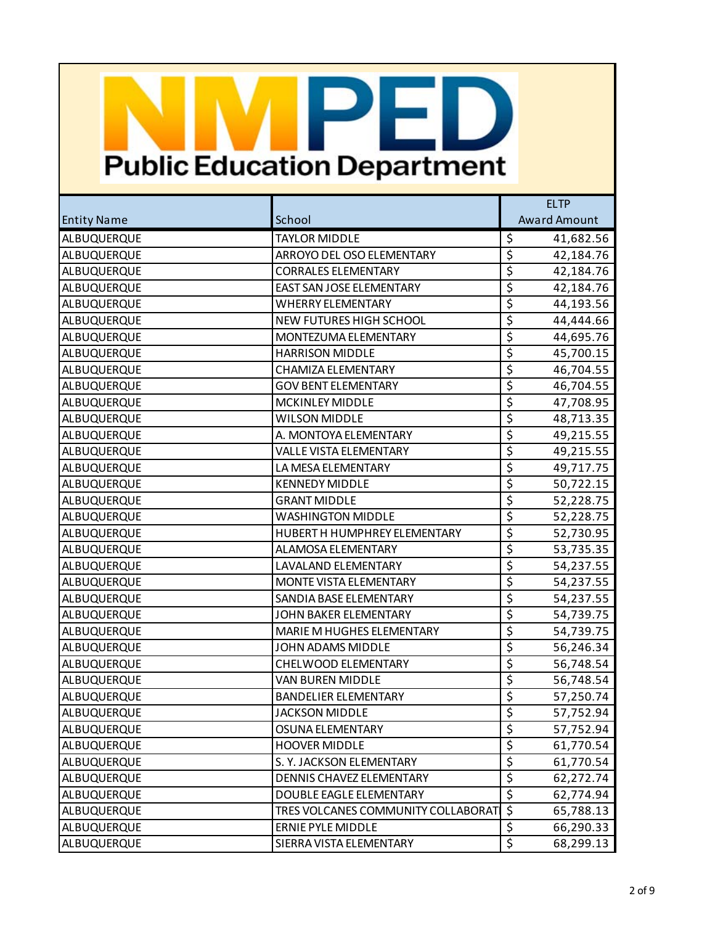|                    |                                    | <b>ELTP</b>                                  |  |
|--------------------|------------------------------------|----------------------------------------------|--|
| <b>Entity Name</b> | School                             | <b>Award Amount</b>                          |  |
| ALBUQUERQUE        | <b>TAYLOR MIDDLE</b>               | \$<br>41,682.56                              |  |
| ALBUQUERQUE        | ARROYO DEL OSO ELEMENTARY          | $\overline{\xi}$<br>42,184.76                |  |
| ALBUQUERQUE        | <b>CORRALES ELEMENTARY</b>         | $\overline{\mathcal{S}}$<br>42,184.76        |  |
| ALBUQUERQUE        | EAST SAN JOSE ELEMENTARY           | $\overline{\boldsymbol{\zeta}}$<br>42,184.76 |  |
| ALBUQUERQUE        | <b>WHERRY ELEMENTARY</b>           | \$<br>44,193.56                              |  |
| ALBUQUERQUE        | NEW FUTURES HIGH SCHOOL            | $\overline{\mathcal{S}}$<br>44,444.66        |  |
| ALBUQUERQUE        | MONTEZUMA ELEMENTARY               | $\overline{\mathcal{L}}$<br>44,695.76        |  |
| ALBUQUERQUE        | <b>HARRISON MIDDLE</b>             | \$<br>45,700.15                              |  |
| ALBUQUERQUE        | <b>CHAMIZA ELEMENTARY</b>          | $\overline{\mathcal{S}}$<br>46,704.55        |  |
| ALBUQUERQUE        | <b>GOV BENT ELEMENTARY</b>         | $\overline{\mathcal{L}}$<br>46,704.55        |  |
| ALBUQUERQUE        | <b>MCKINLEY MIDDLE</b>             | \$<br>47,708.95                              |  |
| ALBUQUERQUE        | <b>WILSON MIDDLE</b>               | $\overline{\mathcal{S}}$<br>48,713.35        |  |
| ALBUQUERQUE        | A. MONTOYA ELEMENTARY              | $\overline{\mathcal{L}}$<br>49,215.55        |  |
| ALBUQUERQUE        | <b>VALLE VISTA ELEMENTARY</b>      | \$<br>49,215.55                              |  |
| ALBUQUERQUE        | LA MESA ELEMENTARY                 | $\overline{\mathcal{S}}$<br>49,717.75        |  |
| ALBUQUERQUE        | <b>KENNEDY MIDDLE</b>              | $\overline{\xi}$<br>50,722.15                |  |
| ALBUQUERQUE        | <b>GRANT MIDDLE</b>                | $\overline{\xi}$<br>52,228.75                |  |
| ALBUQUERQUE        | <b>WASHINGTON MIDDLE</b>           | $\overline{\mathcal{S}}$<br>52,228.75        |  |
| ALBUQUERQUE        | HUBERT H HUMPHREY ELEMENTARY       | $\overline{\xi}$<br>52,730.95                |  |
| ALBUQUERQUE        | ALAMOSA ELEMENTARY                 | \$<br>53,735.35                              |  |
| ALBUQUERQUE        | <b>LAVALAND ELEMENTARY</b>         | $\overline{\mathcal{S}}$<br>54,237.55        |  |
| ALBUQUERQUE        | MONTE VISTA ELEMENTARY             | $\overline{\xi}$<br>54,237.55                |  |
| ALBUQUERQUE        | SANDIA BASE ELEMENTARY             | $\overline{\xi}$<br>54,237.55                |  |
| ALBUQUERQUE        | JOHN BAKER ELEMENTARY              | $\overline{\mathcal{S}}$<br>54,739.75        |  |
| ALBUQUERQUE        | MARIE M HUGHES ELEMENTARY          | $\overline{\xi}$<br>54,739.75                |  |
| ALBUQUERQUE        | JOHN ADAMS MIDDLE                  | \$<br>56,246.34                              |  |
| ALBUQUERQUE        | CHELWOOD ELEMENTARY                | $\overline{\varsigma}$<br>56,748.54          |  |
| ALBUQUERQUE        | <b>VAN BUREN MIDDLE</b>            | $\overline{\boldsymbol{\zeta}}$<br>56,748.54 |  |
| ALBUQUERQUE        | <b>BANDELIER ELEMENTARY</b>        | $\overline{\xi}$<br>57,250.74                |  |
| ALBUQUERQUE        | <b>JACKSON MIDDLE</b>              | \$<br>57,752.94                              |  |
| ALBUQUERQUE        | OSUNA ELEMENTARY                   | \$<br>57,752.94                              |  |
| ALBUQUERQUE        | <b>HOOVER MIDDLE</b>               | $\overline{\xi}$<br>61,770.54                |  |
| ALBUQUERQUE        | S. Y. JACKSON ELEMENTARY           | $\overline{\varsigma}$<br>61,770.54          |  |
| ALBUQUERQUE        | DENNIS CHAVEZ ELEMENTARY           | $\overline{\xi}$<br>62,272.74                |  |
| ALBUQUERQUE        | DOUBLE EAGLE ELEMENTARY            | $\overline{\xi}$<br>62,774.94                |  |
| ALBUQUERQUE        | TRES VOLCANES COMMUNITY COLLABORAT | \$<br>65,788.13                              |  |
| ALBUQUERQUE        | ERNIE PYLE MIDDLE                  | \$<br>66,290.33                              |  |
| ALBUQUERQUE        | SIERRA VISTA ELEMENTARY            | \$<br>68,299.13                              |  |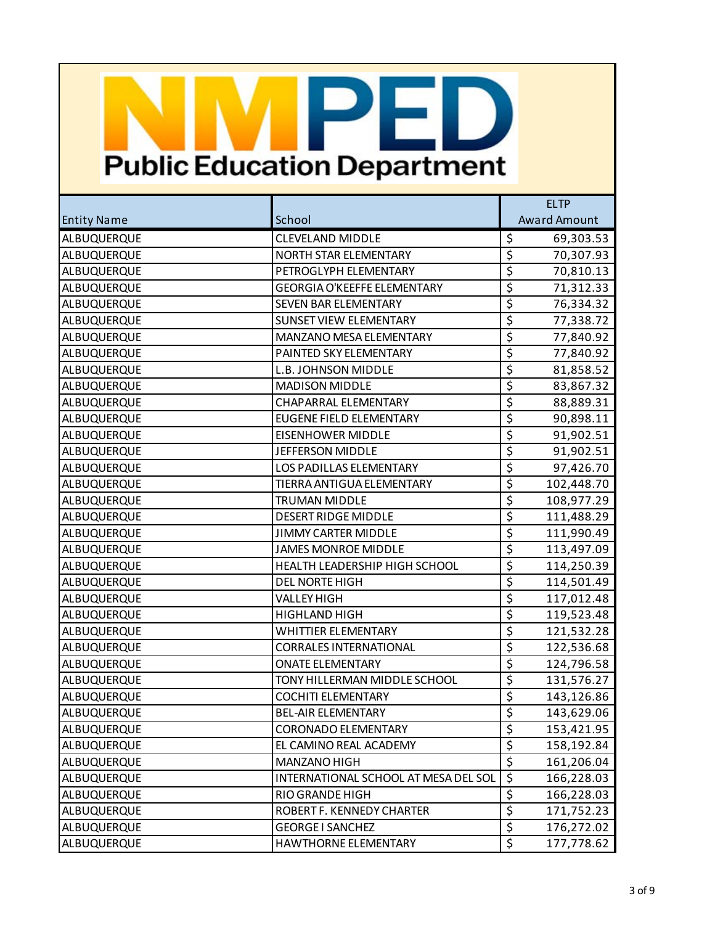|                    |                                      | <b>ELTP</b>                                  |  |
|--------------------|--------------------------------------|----------------------------------------------|--|
| <b>Entity Name</b> | School                               | <b>Award Amount</b>                          |  |
| ALBUQUERQUE        | <b>CLEVELAND MIDDLE</b>              | \$<br>69,303.53                              |  |
| ALBUQUERQUE        | NORTH STAR ELEMENTARY                | $\overline{\xi}$<br>70,307.93                |  |
| ALBUQUERQUE        | PETROGLYPH ELEMENTARY                | $\overline{\mathcal{S}}$<br>70,810.13        |  |
| ALBUQUERQUE        | <b>GEORGIA O'KEEFFE ELEMENTARY</b>   | $\overline{\boldsymbol{\zeta}}$<br>71,312.33 |  |
| ALBUQUERQUE        | SEVEN BAR ELEMENTARY                 | $\overline{\xi}$<br>76,334.32                |  |
| ALBUQUERQUE        | <b>SUNSET VIEW ELEMENTARY</b>        | $\overline{\mathcal{S}}$<br>77,338.72        |  |
| ALBUQUERQUE        | MANZANO MESA ELEMENTARY              | $\overline{\boldsymbol{\zeta}}$<br>77,840.92 |  |
| ALBUQUERQUE        | PAINTED SKY ELEMENTARY               | $\overline{\xi}$<br>77,840.92                |  |
| ALBUQUERQUE        | <b>L.B. JOHNSON MIDDLE</b>           | \$<br>81,858.52                              |  |
| ALBUQUERQUE        | <b>MADISON MIDDLE</b>                | $\overline{\mathcal{L}}$<br>83,867.32        |  |
| ALBUQUERQUE        | CHAPARRAL ELEMENTARY                 | $\overline{\xi}$<br>88,889.31                |  |
| ALBUQUERQUE        | <b>EUGENE FIELD ELEMENTARY</b>       | $\overline{\mathcal{S}}$<br>90,898.11        |  |
| ALBUQUERQUE        | <b>EISENHOWER MIDDLE</b>             | $\overline{\boldsymbol{\zeta}}$<br>91,902.51 |  |
| ALBUQUERQUE        | JEFFERSON MIDDLE                     | $\overline{\xi}$<br>91,902.51                |  |
| ALBUQUERQUE        | <b>LOS PADILLAS ELEMENTARY</b>       | \$<br>97,426.70                              |  |
| ALBUQUERQUE        | TIERRA ANTIGUA ELEMENTARY            | $\overline{\xi}$<br>102,448.70               |  |
| ALBUQUERQUE        | <b>TRUMAN MIDDLE</b>                 | $\overline{\xi}$<br>108,977.29               |  |
| ALBUQUERQUE        | <b>DESERT RIDGE MIDDLE</b>           | $\overline{\mathcal{S}}$<br>111,488.29       |  |
| ALBUQUERQUE        | <b>JIMMY CARTER MIDDLE</b>           | $\overline{\xi}$<br>111,990.49               |  |
| ALBUQUERQUE        | <b>JAMES MONROE MIDDLE</b>           | $\overline{\xi}$<br>113,497.09               |  |
| ALBUQUERQUE        | HEALTH LEADERSHIP HIGH SCHOOL        | $\overline{\mathcal{S}}$<br>114,250.39       |  |
| ALBUQUERQUE        | <b>DEL NORTE HIGH</b>                | $\overline{\xi}$<br>114,501.49               |  |
| ALBUQUERQUE        | <b>VALLEY HIGH</b>                   | $\overline{\xi}$<br>117,012.48               |  |
| ALBUQUERQUE        | HIGHLAND HIGH                        | $\overline{\mathcal{S}}$<br>119,523.48       |  |
| ALBUQUERQUE        | <b>WHITTIER ELEMENTARY</b>           | $\overline{\xi}$<br>121,532.28               |  |
| ALBUQUERQUE        | <b>CORRALES INTERNATIONAL</b>        | $\overline{\xi}$<br>122,536.68               |  |
| ALBUQUERQUE        | <b>ONATE ELEMENTARY</b>              | $\overline{\varsigma}$<br>124,796.58         |  |
| ALBUQUERQUE        | TONY HILLERMAN MIDDLE SCHOOL         | $\overline{\xi}$<br>131,576.27               |  |
| ALBUQUERQUE        | <b>COCHITI ELEMENTARY</b>            | $\overline{\xi}$<br>143,126.86               |  |
| ALBUQUERQUE        | <b>BEL-AIR ELEMENTARY</b>            | \$<br>143,629.06                             |  |
| ALBUQUERQUE        | <b>CORONADO ELEMENTARY</b>           | \$<br>153,421.95                             |  |
| ALBUQUERQUE        | EL CAMINO REAL ACADEMY               | $\overline{\xi}$<br>158,192.84               |  |
| ALBUQUERQUE        | MANZANO HIGH                         | $\overline{\mathcal{S}}$<br>161,206.04       |  |
| ALBUQUERQUE        | INTERNATIONAL SCHOOL AT MESA DEL SOL | $\overline{\xi}$<br>166,228.03               |  |
| ALBUQUERQUE        | RIO GRANDE HIGH                      | $\overline{\xi}$<br>166,228.03               |  |
| ALBUQUERQUE        | ROBERT F. KENNEDY CHARTER            | \$<br>171,752.23                             |  |
| ALBUQUERQUE        | <b>GEORGE I SANCHEZ</b>              | \$<br>176,272.02                             |  |
| ALBUQUERQUE        | HAWTHORNE ELEMENTARY                 | \$<br>177,778.62                             |  |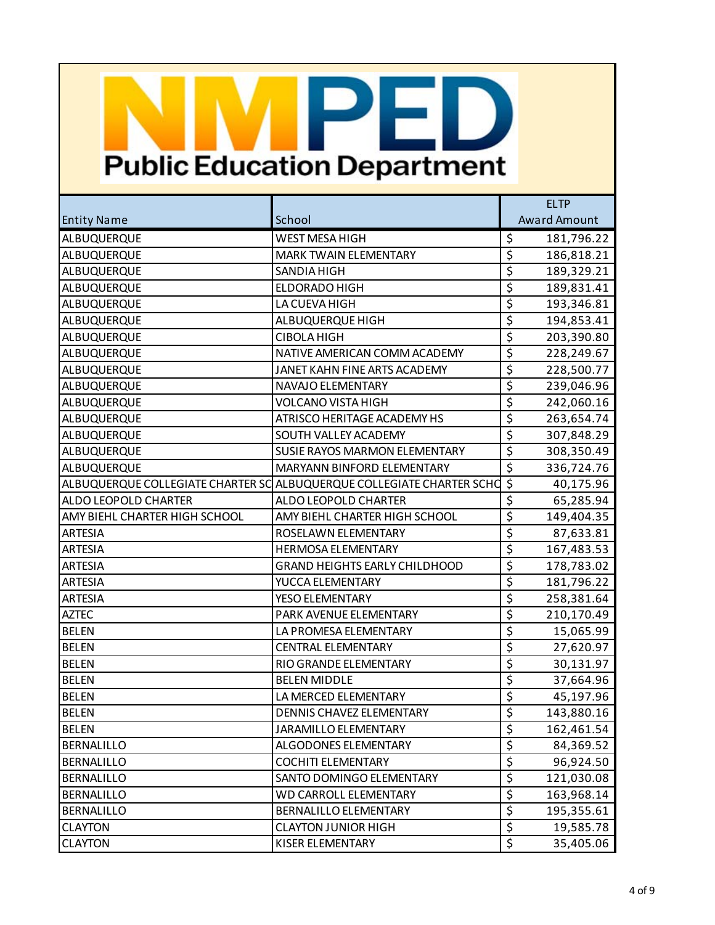|                               |                                                                       | <b>ELTP</b>                                   |
|-------------------------------|-----------------------------------------------------------------------|-----------------------------------------------|
| <b>Entity Name</b>            | School                                                                | <b>Award Amount</b>                           |
| ALBUQUERQUE                   | <b>WEST MESA HIGH</b>                                                 | \$<br>181,796.22                              |
| ALBUQUERQUE                   | MARK TWAIN ELEMENTARY                                                 | $\overline{\xi}$<br>186,818.21                |
| ALBUQUERQUE                   | SANDIA HIGH                                                           | $\overline{\varsigma}$<br>189,329.21          |
| ALBUQUERQUE                   | <b>ELDORADO HIGH</b>                                                  | $\overline{\boldsymbol{\zeta}}$<br>189,831.41 |
| ALBUQUERQUE                   | LA CUEVA HIGH                                                         | $\overline{\xi}$<br>193,346.81                |
| ALBUQUERQUE                   | ALBUQUERQUE HIGH                                                      | $\overline{\varsigma}$<br>194,853.41          |
| ALBUQUERQUE                   | <b>CIBOLA HIGH</b>                                                    | $\overline{\boldsymbol{\zeta}}$<br>203,390.80 |
| ALBUQUERQUE                   | NATIVE AMERICAN COMM ACADEMY                                          | $\overline{\xi}$<br>228,249.67                |
| ALBUQUERQUE                   | JANET KAHN FINE ARTS ACADEMY                                          | $\overline{\mathcal{S}}$<br>228,500.77        |
| ALBUQUERQUE                   | NAVAJO ELEMENTARY                                                     | $\overline{\boldsymbol{\zeta}}$<br>239,046.96 |
| ALBUQUERQUE                   | <b>VOLCANO VISTA HIGH</b>                                             | $\overline{\xi}$<br>242,060.16                |
| ALBUQUERQUE                   | ATRISCO HERITAGE ACADEMY HS                                           | $\overline{\mathcal{S}}$<br>263,654.74        |
| ALBUQUERQUE                   | SOUTH VALLEY ACADEMY                                                  | $\overline{\boldsymbol{\zeta}}$<br>307,848.29 |
| <b>ALBUQUERQUE</b>            | SUSIE RAYOS MARMON ELEMENTARY                                         | $\overline{\xi}$<br>308,350.49                |
| ALBUQUERQUE                   | MARYANN BINFORD ELEMENTARY                                            | \$<br>336,724.76                              |
|                               | ALBUQUERQUE COLLEGIATE CHARTER SC ALBUQUERQUE COLLEGIATE CHARTER SCHO | $\overline{\xi}$<br>40,175.96                 |
| ALDO LEOPOLD CHARTER          | ALDO LEOPOLD CHARTER                                                  | $\overline{\xi}$<br>65,285.94                 |
| AMY BIEHL CHARTER HIGH SCHOOL | AMY BIEHL CHARTER HIGH SCHOOL                                         | $\overline{\varsigma}$<br>149,404.35          |
| ARTESIA                       | ROSELAWN ELEMENTARY                                                   | $\overline{\xi}$<br>87,633.81                 |
| <b>ARTESIA</b>                | HERMOSA ELEMENTARY                                                    | $\overline{\xi}$<br>167,483.53                |
| <b>ARTESIA</b>                | <b>GRAND HEIGHTS EARLY CHILDHOOD</b>                                  | $\overline{\mathcal{S}}$<br>178,783.02        |
| <b>ARTESIA</b>                | YUCCA ELEMENTARY                                                      | $\overline{\xi}$<br>181,796.22                |
| <b>ARTESIA</b>                | YESO ELEMENTARY                                                       | $\overline{\xi}$<br>258,381.64                |
| <b>AZTEC</b>                  | PARK AVENUE ELEMENTARY                                                | $\overline{\varsigma}$<br>210,170.49          |
| <b>BELEN</b>                  | LA PROMESA ELEMENTARY                                                 | $\overline{\boldsymbol{\zeta}}$<br>15,065.99  |
| <b>BELEN</b>                  | <b>CENTRAL ELEMENTARY</b>                                             | $\overline{\xi}$<br>27,620.97                 |
| <b>BELEN</b>                  | RIO GRANDE ELEMENTARY                                                 | $\overline{\varsigma}$<br>30,131.97           |
| <b>BELEN</b>                  | <b>BELEN MIDDLE</b>                                                   | $\overline{\boldsymbol{\zeta}}$<br>37,664.96  |
| <b>BELEN</b>                  | LA MERCED ELEMENTARY                                                  | $\overline{\xi}$<br>45,197.96                 |
| <b>BELEN</b>                  | DENNIS CHAVEZ ELEMENTARY                                              | $\overline{\varsigma}$<br>143,880.16          |
| <b>BELEN</b>                  | JARAMILLO ELEMENTARY                                                  | \$<br>162,461.54                              |
| <b>BERNALILLO</b>             | ALGODONES ELEMENTARY                                                  | \$<br>84,369.52                               |
| BERNALILLO                    | <b>COCHITI ELEMENTARY</b>                                             | \$<br>96,924.50                               |
| BERNALILLO                    | SANTO DOMINGO ELEMENTARY                                              | \$<br>121,030.08                              |
| <b>BERNALILLO</b>             | <b>WD CARROLL ELEMENTARY</b>                                          | $\overline{\xi}$<br>163,968.14                |
| <b>BERNALILLO</b>             | <b>BERNALILLO ELEMENTARY</b>                                          | \$<br>195,355.61                              |
| <b>CLAYTON</b>                | <b>CLAYTON JUNIOR HIGH</b>                                            | \$<br>19,585.78                               |
| <b>CLAYTON</b>                | KISER ELEMENTARY                                                      | \$<br>35,405.06                               |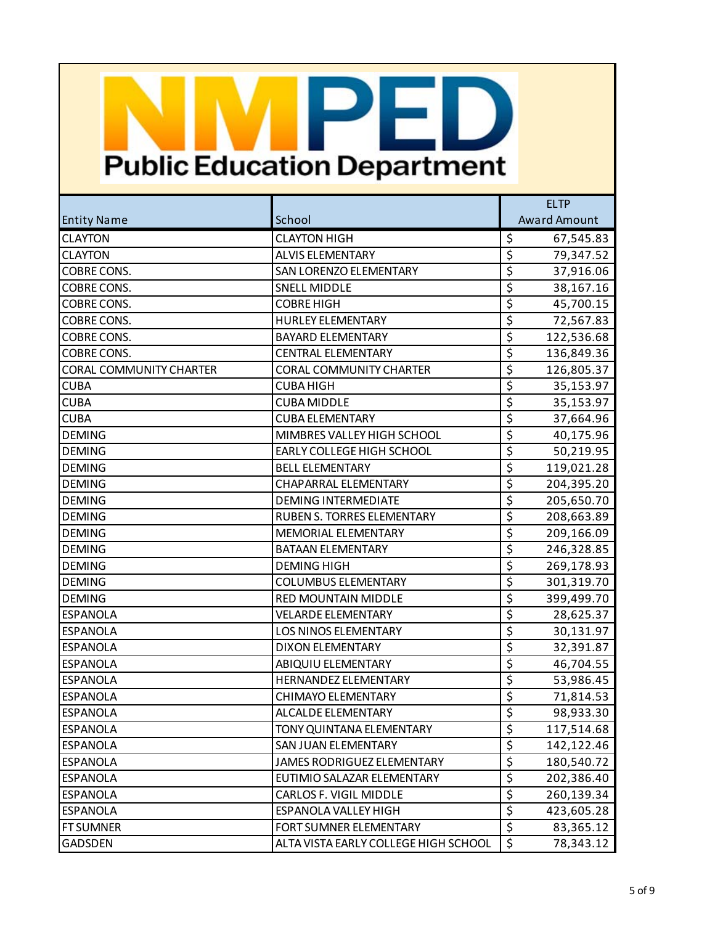|                                |                                      | <b>ELTP</b>                                   |  |
|--------------------------------|--------------------------------------|-----------------------------------------------|--|
| <b>Entity Name</b>             | School                               | <b>Award Amount</b>                           |  |
| <b>CLAYTON</b>                 | <b>CLAYTON HIGH</b>                  | \$<br>67,545.83                               |  |
| <b>CLAYTON</b>                 | <b>ALVIS ELEMENTARY</b>              | $\overline{\xi}$<br>79,347.52                 |  |
| <b>COBRE CONS.</b>             | SAN LORENZO ELEMENTARY               | $\overline{\mathcal{S}}$<br>37,916.06         |  |
| <b>COBRE CONS.</b>             | <b>SNELL MIDDLE</b>                  | $\overline{\mathsf{S}}$<br>38,167.16          |  |
| <b>COBRE CONS.</b>             | <b>COBRE HIGH</b>                    | $\overline{\boldsymbol{\zeta}}$<br>45,700.15  |  |
| <b>COBRE CONS.</b>             | <b>HURLEY ELEMENTARY</b>             | $\overline{\mathcal{S}}$<br>72,567.83         |  |
| <b>COBRE CONS.</b>             | <b>BAYARD ELEMENTARY</b>             | $\overline{\xi}$<br>122,536.68                |  |
| <b>COBRE CONS.</b>             | <b>CENTRAL ELEMENTARY</b>            | $\overline{\boldsymbol{\zeta}}$<br>136,849.36 |  |
| <b>CORAL COMMUNITY CHARTER</b> | <b>CORAL COMMUNITY CHARTER</b>       | $\overline{\mathcal{S}}$<br>126,805.37        |  |
| <b>CUBA</b>                    | <b>CUBA HIGH</b>                     | $\overline{\mathsf{S}}$<br>35,153.97          |  |
| <b>CUBA</b>                    | <b>CUBA MIDDLE</b>                   | $\overline{\boldsymbol{\zeta}}$<br>35,153.97  |  |
| <b>CUBA</b>                    | <b>CUBA ELEMENTARY</b>               | $\overline{\mathcal{S}}$<br>37,664.96         |  |
| <b>DEMING</b>                  | MIMBRES VALLEY HIGH SCHOOL           | $\overline{\mathsf{S}}$<br>40,175.96          |  |
| <b>DEMING</b>                  | EARLY COLLEGE HIGH SCHOOL            | $\overline{\boldsymbol{\zeta}}$<br>50,219.95  |  |
| <b>DEMING</b>                  | <b>BELL ELEMENTARY</b>               | $\overline{\mathcal{S}}$<br>119,021.28        |  |
| <b>DEMING</b>                  | CHAPARRAL ELEMENTARY                 | $\overline{\xi}$<br>204,395.20                |  |
| <b>DEMING</b>                  | <b>DEMING INTERMEDIATE</b>           | $\overline{\xi}$<br>205,650.70                |  |
| <b>DEMING</b>                  | <b>RUBEN S. TORRES ELEMENTARY</b>    | $\overline{\mathcal{S}}$<br>208,663.89        |  |
| <b>DEMING</b>                  | <b>MEMORIAL ELEMENTARY</b>           | $\overline{\xi}$<br>209,166.09                |  |
| <b>DEMING</b>                  | <b>BATAAN ELEMENTARY</b>             | $\overline{\boldsymbol{\zeta}}$<br>246,328.85 |  |
| <b>DEMING</b>                  | <b>DEMING HIGH</b>                   | $\overline{\mathcal{S}}$<br>269,178.93        |  |
| <b>DEMING</b>                  | <b>COLUMBUS ELEMENTARY</b>           | $\overline{\xi}$<br>301,319.70                |  |
| <b>DEMING</b>                  | <b>RED MOUNTAIN MIDDLE</b>           | $\overline{\boldsymbol{\zeta}}$<br>399,499.70 |  |
| <b>ESPANOLA</b>                | <b>VELARDE ELEMENTARY</b>            | $\overline{\mathcal{S}}$<br>28,625.37         |  |
| <b>ESPANOLA</b>                | <b>LOS NINOS ELEMENTARY</b>          | $\overline{\mathsf{S}}$<br>30,131.97          |  |
| <b>ESPANOLA</b>                | <b>DIXON ELEMENTARY</b>              | $\overline{\boldsymbol{\zeta}}$<br>32,391.87  |  |
| <b>ESPANOLA</b>                | ABIQUIU ELEMENTARY                   | $\overline{\mathcal{S}}$<br>46,704.55         |  |
| <b>ESPANOLA</b>                | HERNANDEZ ELEMENTARY                 | $\overline{\xi}$<br>53,986.45                 |  |
| <b>ESPANOLA</b>                | <b>CHIMAYO ELEMENTARY</b>            | $\overline{\xi}$<br>71,814.53                 |  |
| <b>ESPANOLA</b>                | <b>ALCALDE ELEMENTARY</b>            | \$<br>98,933.30                               |  |
| <b>ESPANOLA</b>                | TONY QUINTANA ELEMENTARY             | \$<br>117,514.68                              |  |
| <b>ESPANOLA</b>                | SAN JUAN ELEMENTARY                  | $\overline{\xi}$<br>142,122.46                |  |
| <b>ESPANOLA</b>                | JAMES RODRIGUEZ ELEMENTARY           | \$<br>180,540.72                              |  |
| <b>ESPANOLA</b>                | EUTIMIO SALAZAR ELEMENTARY           | $\overline{\boldsymbol{\zeta}}$<br>202,386.40 |  |
| <b>ESPANOLA</b>                | CARLOS F. VIGIL MIDDLE               | \$<br>260,139.34                              |  |
| <b>ESPANOLA</b>                | <b>ESPANOLA VALLEY HIGH</b>          | \$<br>423,605.28                              |  |
| <b>FT SUMNER</b>               | FORT SUMNER ELEMENTARY               | $\overline{\xi}$<br>83,365.12                 |  |
| <b>GADSDEN</b>                 | ALTA VISTA EARLY COLLEGE HIGH SCHOOL | \$<br>78,343.12                               |  |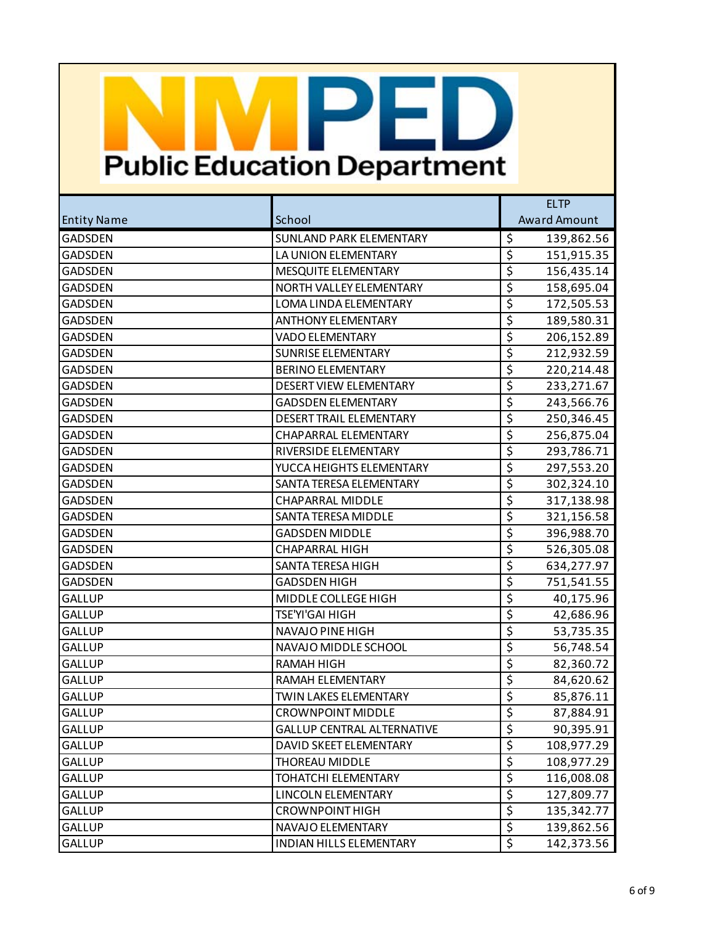|                    |                                   | <b>ELTP</b>                     |                     |
|--------------------|-----------------------------------|---------------------------------|---------------------|
| <b>Entity Name</b> | School                            |                                 | <b>Award Amount</b> |
| <b>GADSDEN</b>     | <b>SUNLAND PARK ELEMENTARY</b>    | \$                              | 139,862.56          |
| GADSDEN            | LA UNION ELEMENTARY               | $\overline{\xi}$                | 151,915.35          |
| <b>GADSDEN</b>     | MESQUITE ELEMENTARY               | $\overline{\mathcal{S}}$        | 156,435.14          |
| <b>GADSDEN</b>     | NORTH VALLEY ELEMENTARY           | $\overline{\xi}$                | 158,695.04          |
| <b>GADSDEN</b>     | LOMA LINDA ELEMENTARY             | $\overline{\boldsymbol{\zeta}}$ | 172,505.53          |
| <b>GADSDEN</b>     | <b>ANTHONY ELEMENTARY</b>         | $\overline{\mathcal{S}}$        | 189,580.31          |
| <b>GADSDEN</b>     | <b>VADO ELEMENTARY</b>            | $\overline{\xi}$                | 206,152.89          |
| <b>GADSDEN</b>     | <b>SUNRISE ELEMENTARY</b>         | $\overline{\boldsymbol{\zeta}}$ | 212,932.59          |
| <b>GADSDEN</b>     | <b>BERINO ELEMENTARY</b>          | $\overline{\mathcal{S}}$        | 220,214.48          |
| <b>GADSDEN</b>     | <b>DESERT VIEW ELEMENTARY</b>     | $\overline{\xi}$                | 233,271.67          |
| <b>GADSDEN</b>     | <b>GADSDEN ELEMENTARY</b>         | $\overline{\boldsymbol{\zeta}}$ | 243,566.76          |
| <b>GADSDEN</b>     | <b>DESERT TRAIL ELEMENTARY</b>    | $\overline{\mathcal{S}}$        | 250,346.45          |
| <b>GADSDEN</b>     | CHAPARRAL ELEMENTARY              | $\overline{\xi}$                | 256,875.04          |
| GADSDEN            | RIVERSIDE ELEMENTARY              | $\overline{\boldsymbol{\zeta}}$ | 293,786.71          |
| <b>GADSDEN</b>     | YUCCA HEIGHTS ELEMENTARY          | $\overline{\mathcal{S}}$        | 297,553.20          |
| <b>GADSDEN</b>     | SANTA TERESA ELEMENTARY           | $\overline{\xi}$                | 302,324.10          |
| GADSDEN            | CHAPARRAL MIDDLE                  | $\overline{\boldsymbol{\zeta}}$ | 317,138.98          |
| <b>GADSDEN</b>     | SANTA TERESA MIDDLE               | $\overline{\mathcal{S}}$        | 321,156.58          |
| <b>GADSDEN</b>     | <b>GADSDEN MIDDLE</b>             | $\overline{\xi}$                | 396,988.70          |
| GADSDEN            | <b>CHAPARRAL HIGH</b>             | $\overline{\boldsymbol{\zeta}}$ | 526,305.08          |
| <b>GADSDEN</b>     | SANTA TERESA HIGH                 | $\overline{\mathcal{S}}$        | 634,277.97          |
| <b>GADSDEN</b>     | <b>GADSDEN HIGH</b>               | $\overline{\xi}$                | 751,541.55          |
| <b>GALLUP</b>      | MIDDLE COLLEGE HIGH               | \$                              | 40,175.96           |
| <b>GALLUP</b>      | TSE'YI'GAI HIGH                   | $\overline{\mathcal{S}}$        | 42,686.96           |
| <b>GALLUP</b>      | NAVAJO PINE HIGH                  | $\overline{\xi}$                | 53,735.35           |
| <b>GALLUP</b>      | NAVAJO MIDDLE SCHOOL              | $\overline{\boldsymbol{\zeta}}$ | 56,748.54           |
| <b>GALLUP</b>      | <b>RAMAH HIGH</b>                 | $\overline{\mathcal{S}}$        | 82,360.72           |
| <b>GALLUP</b>      | RAMAH ELEMENTARY                  | $\overline{\xi}$                | 84,620.62           |
| <b>GALLUP</b>      | <b>TWIN LAKES ELEMENTARY</b>      | $\overline{\xi}$                | 85,876.11           |
| GALLUP             | <b>CROWNPOINT MIDDLE</b>          | \$                              | 87,884.91           |
| GALLUP             | <b>GALLUP CENTRAL ALTERNATIVE</b> | \$                              | 90,395.91           |
| GALLUP             | DAVID SKEET ELEMENTARY            | $\overline{\xi}$                | 108,977.29          |
| GALLUP             | <b>THOREAU MIDDLE</b>             | $\overline{\varsigma}$          | 108,977.29          |
| <b>GALLUP</b>      | TOHATCHI ELEMENTARY               | $\overline{\varsigma}$          | 116,008.08          |
| <b>GALLUP</b>      | LINCOLN ELEMENTARY                | \$                              | 127,809.77          |
| <b>GALLUP</b>      | <b>CROWNPOINT HIGH</b>            | \$                              | 135,342.77          |
| <b>GALLUP</b>      | NAVAJO ELEMENTARY                 | $\overline{\xi}$                | 139,862.56          |
| GALLUP             | INDIAN HILLS ELEMENTARY           | \$                              | 142,373.56          |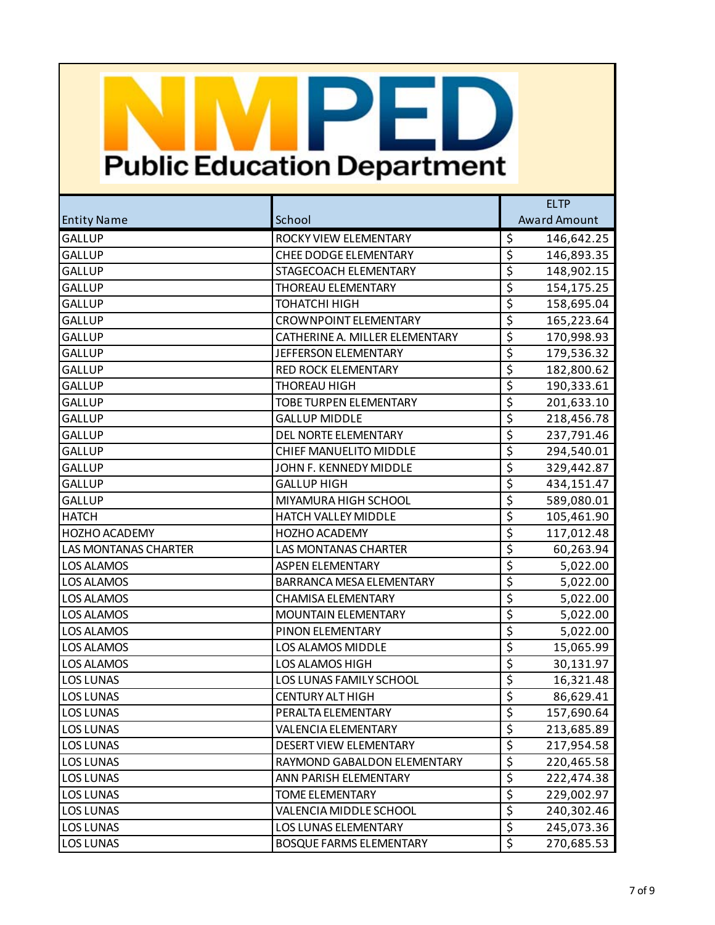|                             |                                | <b>ELTP</b>                                   |  |
|-----------------------------|--------------------------------|-----------------------------------------------|--|
| <b>Entity Name</b>          | School                         | <b>Award Amount</b>                           |  |
| <b>GALLUP</b>               | ROCKY VIEW ELEMENTARY          | \$<br>146,642.25                              |  |
| <b>GALLUP</b>               | <b>CHEE DODGE ELEMENTARY</b>   | $\overline{\xi}$<br>146,893.35                |  |
| <b>GALLUP</b>               | STAGECOACH ELEMENTARY          | $\overline{\varsigma}$<br>148,902.15          |  |
| <b>GALLUP</b>               | <b>THOREAU ELEMENTARY</b>      | $\overline{\boldsymbol{\zeta}}$<br>154,175.25 |  |
| <b>GALLUP</b>               | <b>ТОНАТСНІ НІGH</b>           | $\overline{\xi}$<br>158,695.04                |  |
| <b>GALLUP</b>               | <b>CROWNPOINT ELEMENTARY</b>   | \$<br>165,223.64                              |  |
| <b>GALLUP</b>               | CATHERINE A. MILLER ELEMENTARY | $\overline{\boldsymbol{\zeta}}$<br>170,998.93 |  |
| <b>GALLUP</b>               | JEFFERSON ELEMENTARY           | $\overline{\xi}$<br>179,536.32                |  |
| <b>GALLUP</b>               | <b>RED ROCK ELEMENTARY</b>     | \$<br>182,800.62                              |  |
| <b>GALLUP</b>               | THOREAU HIGH                   | $\overline{\xi}$<br>190,333.61                |  |
| <b>GALLUP</b>               | TOBE TURPEN ELEMENTARY         | $\overline{\xi}$<br>201,633.10                |  |
| <b>GALLUP</b>               | <b>GALLUP MIDDLE</b>           | \$<br>218,456.78                              |  |
| <b>GALLUP</b>               | DEL NORTE ELEMENTARY           | $\overline{\boldsymbol{\zeta}}$<br>237,791.46 |  |
| <b>GALLUP</b>               | <b>CHIEF MANUELITO MIDDLE</b>  | $\overline{\xi}$<br>294,540.01                |  |
| <b>GALLUP</b>               | JOHN F. KENNEDY MIDDLE         | \$<br>329,442.87                              |  |
| <b>GALLUP</b>               | <b>GALLUP HIGH</b>             | $\overline{\xi}$<br>434,151.47                |  |
| <b>GALLUP</b>               | MIYAMURA HIGH SCHOOL           | $\overline{\xi}$<br>589,080.01                |  |
| <b>HATCH</b>                | HATCH VALLEY MIDDLE            | \$<br>105,461.90                              |  |
| HOZHO ACADEMY               | <b>HOZHO ACADEMY</b>           | $\overline{\xi}$<br>117,012.48                |  |
| <b>LAS MONTANAS CHARTER</b> | <b>LAS MONTANAS CHARTER</b>    | $\overline{\xi}$<br>60,263.94                 |  |
| <b>LOS ALAMOS</b>           | <b>ASPEN ELEMENTARY</b>        | \$<br>5,022.00                                |  |
| <b>LOS ALAMOS</b>           | BARRANCA MESA ELEMENTARY       | $\overline{\xi}$<br>5,022.00                  |  |
| <b>LOS ALAMOS</b>           | <b>CHAMISA ELEMENTARY</b>      | $\overline{\xi}$<br>5,022.00                  |  |
| <b>LOS ALAMOS</b>           | MOUNTAIN ELEMENTARY            | \$<br>5,022.00                                |  |
| <b>LOS ALAMOS</b>           | PINON ELEMENTARY               | $\overline{\boldsymbol{\zeta}}$<br>5,022.00   |  |
| <b>LOS ALAMOS</b>           | LOS ALAMOS MIDDLE              | $\overline{\xi}$<br>15,065.99                 |  |
| <b>LOS ALAMOS</b>           | LOS ALAMOS HIGH                | \$<br>30,131.97                               |  |
| <b>LOS LUNAS</b>            | LOS LUNAS FAMILY SCHOOL        | $\overline{\xi}$<br>16,321.48                 |  |
| <b>LOS LUNAS</b>            | <b>CENTURY ALT HIGH</b>        | $\overline{\xi}$<br>86,629.41                 |  |
| <b>LOS LUNAS</b>            | PERALTA ELEMENTARY             | \$<br>157,690.64                              |  |
| <b>LOS LUNAS</b>            | <b>VALENCIA ELEMENTARY</b>     | \$<br>213,685.89                              |  |
| <b>LOS LUNAS</b>            | DESERT VIEW ELEMENTARY         | $\overline{\xi}$<br>217,954.58                |  |
| LOS LUNAS                   | RAYMOND GABALDON ELEMENTARY    | $\overline{\varsigma}$<br>220,465.58          |  |
| <b>LOS LUNAS</b>            | ANN PARISH ELEMENTARY          | \$<br>222,474.38                              |  |
| <b>LOS LUNAS</b>            | <b>TOME ELEMENTARY</b>         | $\overline{\xi}$<br>229,002.97                |  |
| <b>LOS LUNAS</b>            | VALENCIA MIDDLE SCHOOL         | \$<br>240,302.46                              |  |
| <b>LOS LUNAS</b>            | <b>LOS LUNAS ELEMENTARY</b>    | \$<br>245,073.36                              |  |
| <b>LOS LUNAS</b>            | <b>BOSQUE FARMS ELEMENTARY</b> | \$<br>270,685.53                              |  |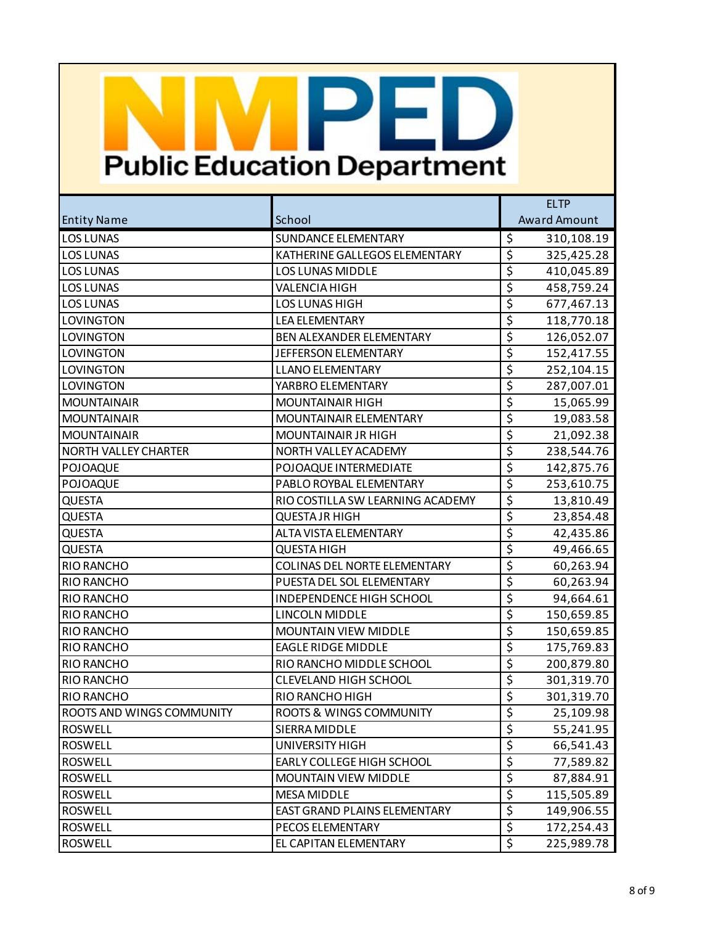|                             |                                     | <b>ELTP</b>                                   |  |
|-----------------------------|-------------------------------------|-----------------------------------------------|--|
| <b>Entity Name</b>          | School                              | <b>Award Amount</b>                           |  |
| <b>LOS LUNAS</b>            | <b>SUNDANCE ELEMENTARY</b>          | \$<br>310,108.19                              |  |
| <b>LOS LUNAS</b>            | KATHERINE GALLEGOS ELEMENTARY       | $\overline{\xi}$<br>325,425.28                |  |
| <b>LOS LUNAS</b>            | <b>LOS LUNAS MIDDLE</b>             | $\overline{\varsigma}$<br>410,045.89          |  |
| <b>LOS LUNAS</b>            | <b>VALENCIA HIGH</b>                | $\overline{\xi}$<br>458,759.24                |  |
| <b>LOS LUNAS</b>            | <b>LOS LUNAS HIGH</b>               | $\overline{\xi}$<br>677,467.13                |  |
| LOVINGTON                   | <b>LEA ELEMENTARY</b>               | \$<br>118,770.18                              |  |
| LOVINGTON                   | BEN ALEXANDER ELEMENTARY            | $\overline{\boldsymbol{\zeta}}$<br>126,052.07 |  |
| LOVINGTON                   | JEFFERSON ELEMENTARY                | $\overline{\xi}$<br>152,417.55                |  |
| LOVINGTON                   | <b>LLANO ELEMENTARY</b>             | \$<br>252,104.15                              |  |
| LOVINGTON                   | YARBRO ELEMENTARY                   | $\overline{\boldsymbol{\zeta}}$<br>287,007.01 |  |
| <b>MOUNTAINAIR</b>          | <b>MOUNTAINAIR HIGH</b>             | $\overline{\xi}$<br>15,065.99                 |  |
| <b>MOUNTAINAIR</b>          | MOUNTAINAIR ELEMENTARY              | \$<br>19,083.58                               |  |
| <b>MOUNTAINAIR</b>          | MOUNTAINAIR JR HIGH                 | $\overline{\boldsymbol{\zeta}}$<br>21,092.38  |  |
| <b>NORTH VALLEY CHARTER</b> | NORTH VALLEY ACADEMY                | $\overline{\xi}$<br>238,544.76                |  |
| POJOAQUE                    | POJOAQUE INTERMEDIATE               | \$<br>142,875.76                              |  |
| POJOAQUE                    | PABLO ROYBAL ELEMENTARY             | $\overline{\xi}$<br>253,610.75                |  |
| <b>QUESTA</b>               | RIO COSTILLA SW LEARNING ACADEMY    | $\overline{\xi}$<br>13,810.49                 |  |
| QUESTA                      | <b>QUESTA JR HIGH</b>               | \$<br>23,854.48                               |  |
| <b>QUESTA</b>               | ALTA VISTA ELEMENTARY               | $\overline{\boldsymbol{\zeta}}$<br>42,435.86  |  |
| QUESTA                      | <b>QUESTA HIGH</b>                  | $\overline{\xi}$<br>49,466.65                 |  |
| RIO RANCHO                  | <b>COLINAS DEL NORTE ELEMENTARY</b> | \$<br>60,263.94                               |  |
| RIO RANCHO                  | PUESTA DEL SOL ELEMENTARY           | $\overline{\xi}$<br>60,263.94                 |  |
| RIO RANCHO                  | INDEPENDENCE HIGH SCHOOL            | $\overline{\xi}$<br>94,664.61                 |  |
| RIO RANCHO                  | LINCOLN MIDDLE                      | \$<br>150,659.85                              |  |
| RIO RANCHO                  | <b>MOUNTAIN VIEW MIDDLE</b>         | $\overline{\boldsymbol{\zeta}}$<br>150,659.85 |  |
| RIO RANCHO                  | <b>EAGLE RIDGE MIDDLE</b>           | $\overline{\xi}$<br>175,769.83                |  |
| RIO RANCHO                  | RIO RANCHO MIDDLE SCHOOL            | \$<br>200,879.80                              |  |
| RIO RANCHO                  | <b>CLEVELAND HIGH SCHOOL</b>        | $\overline{\xi}$<br>301,319.70                |  |
| RIO RANCHO                  | RIO RANCHO HIGH                     | $\overline{\xi}$<br>301,319.70                |  |
| ROOTS AND WINGS COMMUNITY   | ROOTS & WINGS COMMUNITY             | \$<br>25,109.98                               |  |
| <b>ROSWELL</b>              | SIERRA MIDDLE                       | \$<br>55,241.95                               |  |
| <b>ROSWELL</b>              | UNIVERSITY HIGH                     | $\overline{\xi}$<br>66,541.43                 |  |
| <b>ROSWELL</b>              | EARLY COLLEGE HIGH SCHOOL           | $\overline{\mathcal{S}}$<br>77,589.82         |  |
| <b>ROSWELL</b>              | <b>MOUNTAIN VIEW MIDDLE</b>         | $\overline{\xi}$<br>87,884.91                 |  |
| <b>ROSWELL</b>              | <b>MESA MIDDLE</b>                  | $\overline{\xi}$<br>115,505.89                |  |
| <b>ROSWELL</b>              | EAST GRAND PLAINS ELEMENTARY        | \$<br>149,906.55                              |  |
| <b>ROSWELL</b>              | PECOS ELEMENTARY                    | \$<br>172,254.43                              |  |
| <b>ROSWELL</b>              | EL CAPITAN ELEMENTARY               | \$<br>225,989.78                              |  |